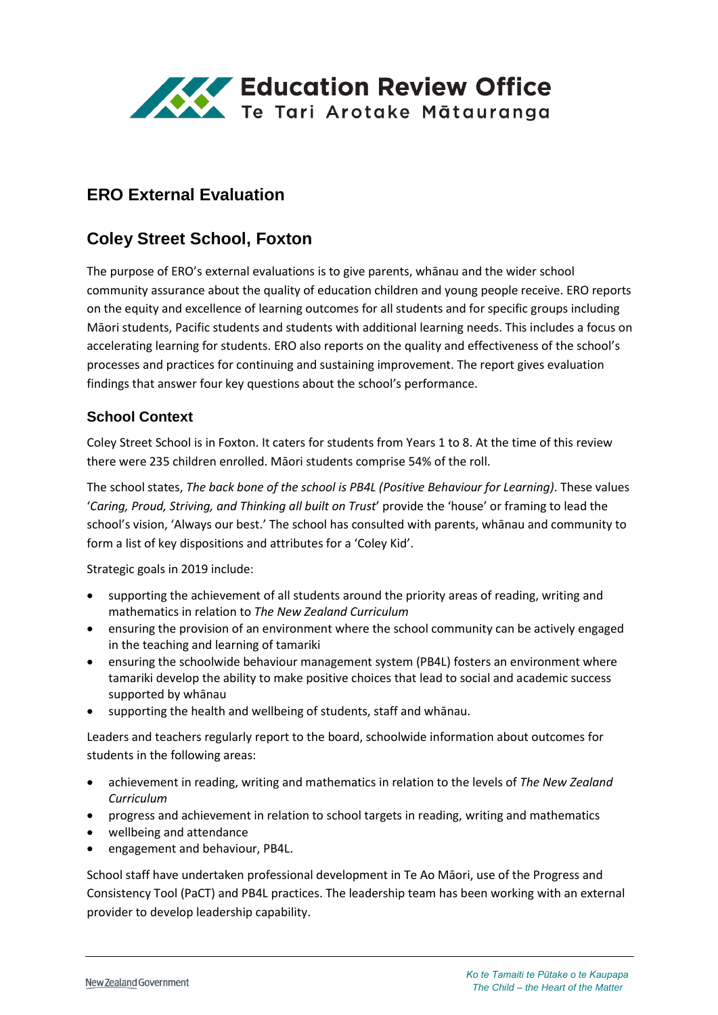

# **ERO External Evaluation**

# **Coley Street School, Foxton**

The purpose of ERO's external evaluations is to give parents, whānau and the wider school community assurance about the quality of education children and young people receive. ERO reports on the equity and excellence of learning outcomes for all students and for specific groups including Māori students, Pacific students and students with additional learning needs. This includes a focus on accelerating learning for students. ERO also reports on the quality and effectiveness of the school's processes and practices for continuing and sustaining improvement. The report gives evaluation findings that answer four key questions about the school's performance.

### **School Context**

Coley Street School is in Foxton. It caters for students from Years 1 to 8. At the time of this review there were 235 children enrolled. Māori students comprise 54% of the roll.

The school states, *The back bone of the school is PB4L (Positive Behaviour for Learning)*. These values '*Caring, Proud, Striving, and Thinking all built on Trust*' provide the 'house' or framing to lead the school's vision, 'Always our best.' The school has consulted with parents, whānau and community to form a list of key dispositions and attributes for a 'Coley Kid'.

Strategic goals in 2019 include:

- supporting the achievement of all students around the priority areas of reading, writing and mathematics in relation to *The New Zealand Curriculum*
- ensuring the provision of an environment where the school community can be actively engaged in the teaching and learning of tamariki
- ensuring the schoolwide behaviour management system (PB4L) fosters an environment where tamariki develop the ability to make positive choices that lead to social and academic success supported by whānau
- supporting the health and wellbeing of students, staff and whānau.

Leaders and teachers regularly report to the board, schoolwide information about outcomes for students in the following areas:

- achievement in reading, writing and mathematics in relation to the levels of *The New Zealand Curriculum*
- progress and achievement in relation to school targets in reading, writing and mathematics
- wellbeing and attendance
- engagement and behaviour, PB4L.

School staff have undertaken professional development in Te Ao Māori, use of the Progress and Consistency Tool (PaCT) and PB4L practices. The leadership team has been working with an external provider to develop leadership capability.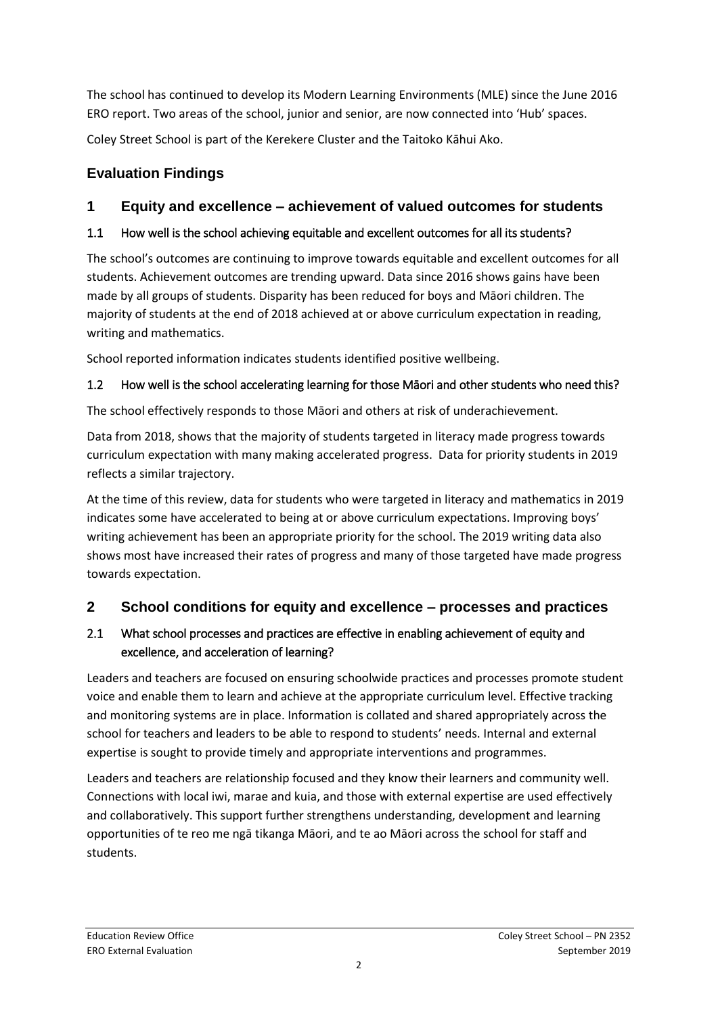The school has continued to develop its Modern Learning Environments (MLE) since the June 2016 ERO report. Two areas of the school, junior and senior, are now connected into 'Hub' spaces.

Coley Street School is part of the Kerekere Cluster and the Taitoko Kāhui Ako.

# **Evaluation Findings**

## **1 Equity and excellence – achievement of valued outcomes for students**

### 1.1 How well is the school achieving equitable and excellent outcomes for all its students?

The school's outcomes are continuing to improve towards equitable and excellent outcomes for all students. Achievement outcomes are trending upward. Data since 2016 shows gains have been made by all groups of students. Disparity has been reduced for boys and Māori children. The majority of students at the end of 2018 achieved at or above curriculum expectation in reading, writing and mathematics.

School reported information indicates students identified positive wellbeing.

## 1.2 How well is the school accelerating learning for those Māori and other students who need this?

The school effectively responds to those Māori and others at risk of underachievement.

Data from 2018, shows that the majority of students targeted in literacy made progress towards curriculum expectation with many making accelerated progress. Data for priority students in 2019 reflects a similar trajectory.

At the time of this review, data for students who were targeted in literacy and mathematics in 2019 indicates some have accelerated to being at or above curriculum expectations. Improving boys' writing achievement has been an appropriate priority for the school. The 2019 writing data also shows most have increased their rates of progress and many of those targeted have made progress towards expectation.

## **2 School conditions for equity and excellence – processes and practices**

### 2.1 What school processes and practices are effective in enabling achievement of equity and excellence, and acceleration of learning?

Leaders and teachers are focused on ensuring schoolwide practices and processes promote student voice and enable them to learn and achieve at the appropriate curriculum level. Effective tracking and monitoring systems are in place. Information is collated and shared appropriately across the school for teachers and leaders to be able to respond to students' needs. Internal and external expertise is sought to provide timely and appropriate interventions and programmes.

Leaders and teachers are relationship focused and they know their learners and community well. Connections with local iwi, marae and kuia, and those with external expertise are used effectively and collaboratively. This support further strengthens understanding, development and learning opportunities of te reo me ngā tikanga Māori, and te ao Māori across the school for staff and students.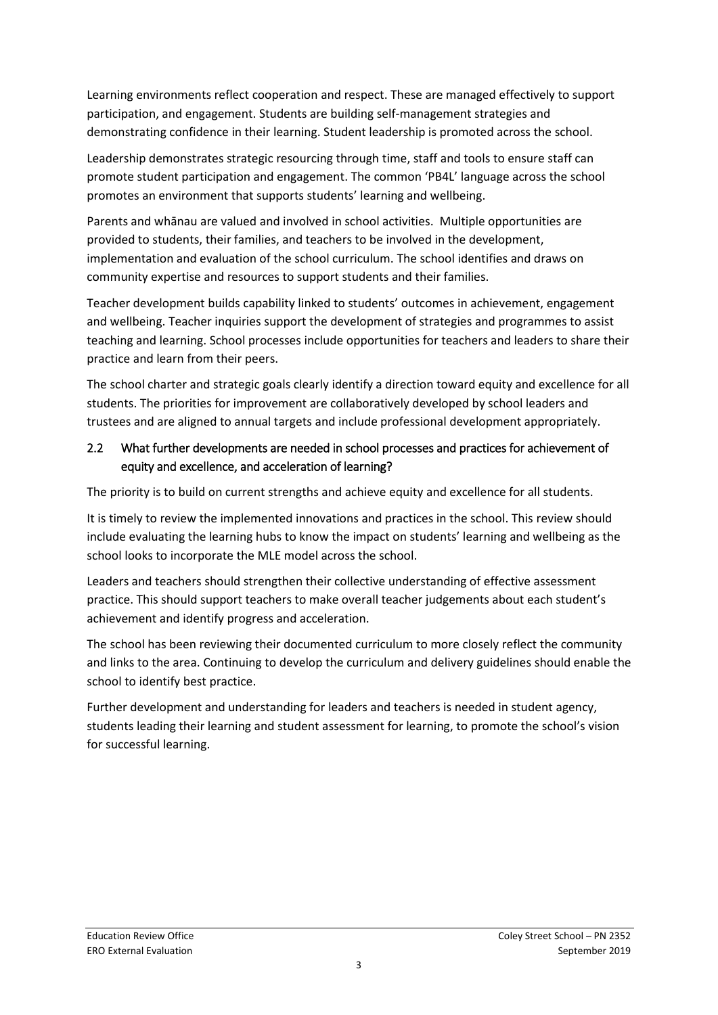Learning environments reflect cooperation and respect. These are managed effectively to support participation, and engagement. Students are building self-management strategies and demonstrating confidence in their learning. Student leadership is promoted across the school.

Leadership demonstrates strategic resourcing through time, staff and tools to ensure staff can promote student participation and engagement. The common 'PB4L' language across the school promotes an environment that supports students' learning and wellbeing.

Parents and whānau are valued and involved in school activities. Multiple opportunities are provided to students, their families, and teachers to be involved in the development, implementation and evaluation of the school curriculum. The school identifies and draws on community expertise and resources to support students and their families.

Teacher development builds capability linked to students' outcomes in achievement, engagement and wellbeing. Teacher inquiries support the development of strategies and programmes to assist teaching and learning. School processes include opportunities for teachers and leaders to share their practice and learn from their peers.

The school charter and strategic goals clearly identify a direction toward equity and excellence for all students. The priorities for improvement are collaboratively developed by school leaders and trustees and are aligned to annual targets and include professional development appropriately.

### 2.2 What further developments are needed in school processes and practices for achievement of equity and excellence, and acceleration of learning?

The priority is to build on current strengths and achieve equity and excellence for all students.

It is timely to review the implemented innovations and practices in the school. This review should include evaluating the learning hubs to know the impact on students' learning and wellbeing as the school looks to incorporate the MLE model across the school.

Leaders and teachers should strengthen their collective understanding of effective assessment practice. This should support teachers to make overall teacher judgements about each student's achievement and identify progress and acceleration.

The school has been reviewing their documented curriculum to more closely reflect the community and links to the area. Continuing to develop the curriculum and delivery guidelines should enable the school to identify best practice.

Further development and understanding for leaders and teachers is needed in student agency, students leading their learning and student assessment for learning, to promote the school's vision for successful learning.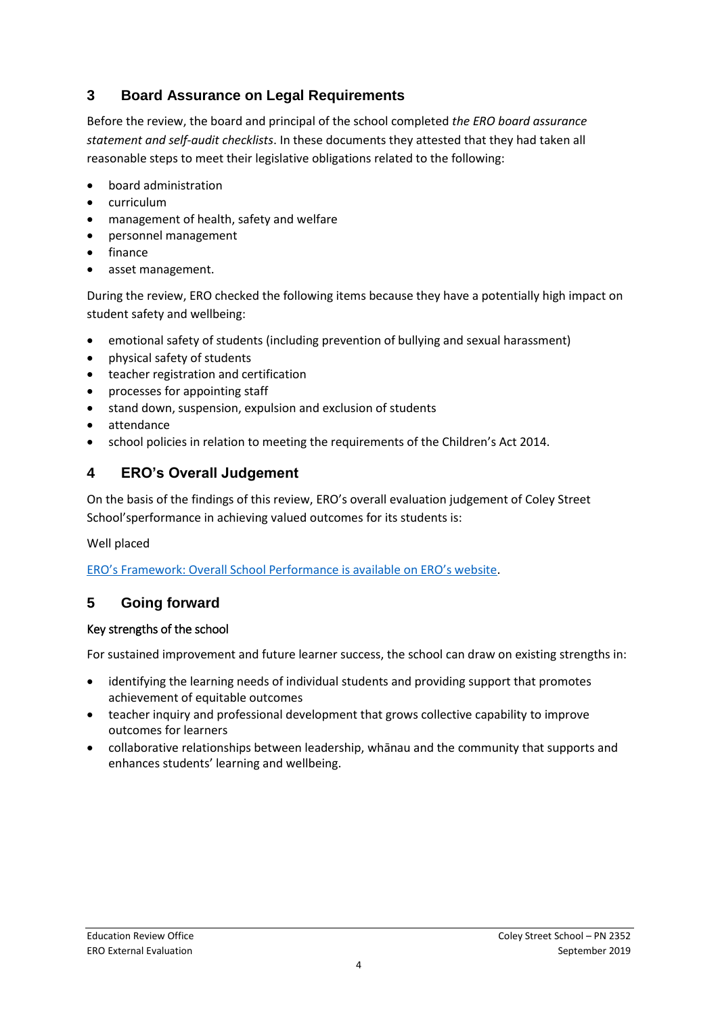## **3 Board Assurance on Legal Requirements**

Before the review, the board and principal of the school completed *the ERO board assurance statement and self-audit checklists*. In these documents they attested that they had taken all reasonable steps to meet their legislative obligations related to the following:

- board administration
- curriculum
- management of health, safety and welfare
- personnel management
- finance
- asset management.

During the review, ERO checked the following items because they have a potentially high impact on student safety and wellbeing:

- emotional safety of students (including prevention of bullying and sexual harassment)
- physical safety of students
- teacher registration and certification
- processes for appointing staff
- stand down, suspension, expulsion and exclusion of students
- attendance
- school policies in relation to meeting the requirements of the Children's Act 2014.

## **4 ERO's Overall Judgement**

On the basis of the findings of this review, ERO's overall evaluation judgement of Coley Street School'sperformance in achieving valued outcomes for its students is:

Well placed

[ERO's Framework: Overall School Performance is available on ERO's website](https://www.ero.govt.nz/assets/Uploads/Framework-overall-school-performance-Feb-2019.pdf).

## **5 Going forward**

#### Key strengths of the school

For sustained improvement and future learner success, the school can draw on existing strengths in:

- identifying the learning needs of individual students and providing support that promotes achievement of equitable outcomes
- teacher inquiry and professional development that grows collective capability to improve outcomes for learners
- collaborative relationships between leadership, whānau and the community that supports and enhances students' learning and wellbeing.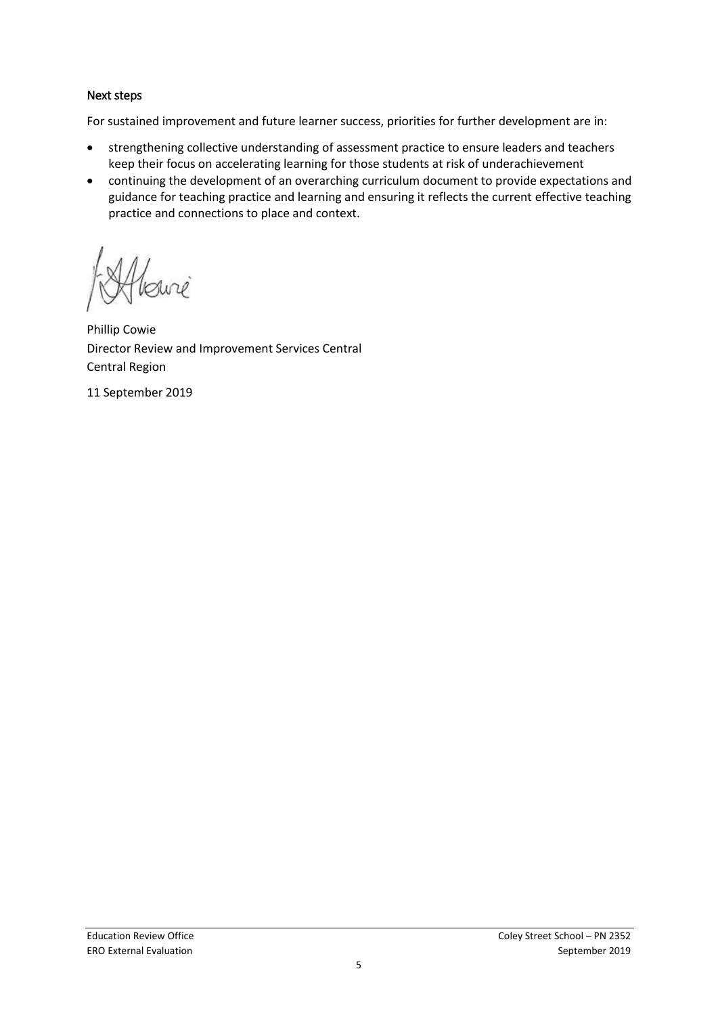#### Next steps

For sustained improvement and future learner success, priorities for further development are in:

- strengthening collective understanding of assessment practice to ensure leaders and teachers keep their focus on accelerating learning for those students at risk of underachievement
- continuing the development of an overarching curriculum document to provide expectations and guidance for teaching practice and learning and ensuring it reflects the current effective teaching practice and connections to place and context.

slune

Phillip Cowie Director Review and Improvement Services Central Central Region

11 September 2019